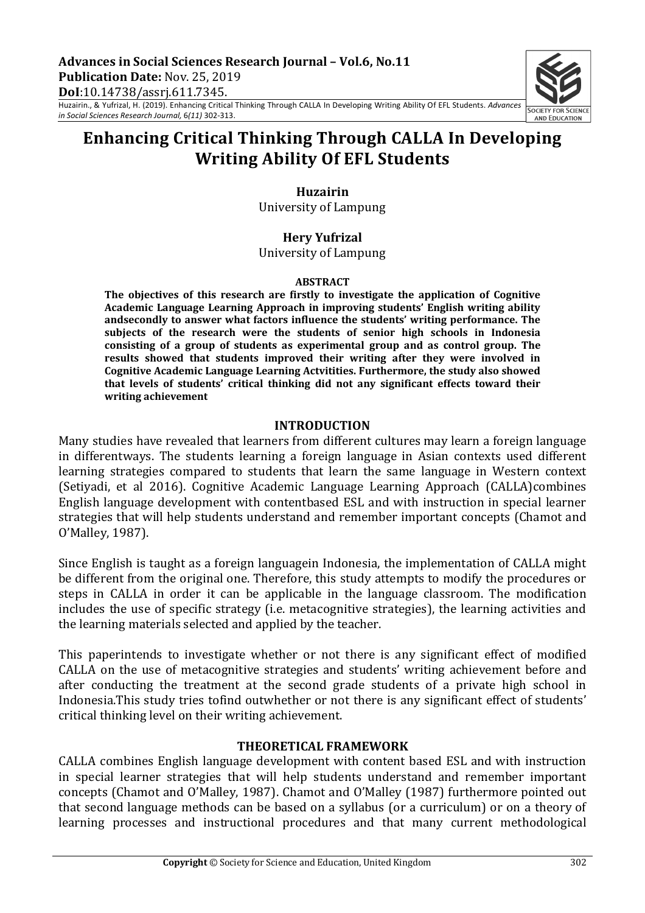Advances in Social Sciences Research Journal - Vol.6, No.11 **Publication Date:** Nov. 25, 2019 **DoI**:10.14738/assrj.611.7345.

Huzairin., & Yufrizal, H. (2019). Enhancing Critical Thinking Through CALLA In Developing Writing Ability Of EFL Students. *Advances in Social Sciences Research Journal,* 6*(11)* 302-313.

# **Enhancing Critical Thinking Through CALLA In Developing Writing Ability Of EFL Students**

# **Huzairin**

University of Lampung

# **Hery Yufrizal**

University of Lampung 

#### **ABSTRACT**

The objectives of this research are firstly to investigate the application of Cognitive Academic Language Learning Approach in improving students' English writing ability andsecondly to answer what factors influence the students' writing performance. The subjects of the research were the students of senior high schools in Indonesia consisting of a group of students as experimental group and as control group. The results showed that students improved their writing after they were involved in Cognitive Academic Language Learning Actvitities. Furthermore, the study also showed **that levels of students' critical thinking did not any significant effects toward their writing achievement**

# **INTRODUCTION**

Many studies have revealed that learners from different cultures may learn a foreign language in differentways. The students learning a foreign language in Asian contexts used different learning strategies compared to students that learn the same language in Western context (Setiyadi, et al 2016). Cognitive Academic Language Learning Approach (CALLA)combines English language development with contentbased ESL and with instruction in special learner strategies that will help students understand and remember important concepts (Chamot and O'Malley, 1987).

Since English is taught as a foreign languagein Indonesia, the implementation of CALLA might be different from the original one. Therefore, this study attempts to modify the procedures or steps in CALLA in order it can be applicable in the language classroom. The modification includes the use of specific strategy (i.e. metacognitive strategies), the learning activities and the learning materials selected and applied by the teacher.

This paperintends to investigate whether or not there is any significant effect of modified CALLA on the use of metacognitive strategies and students' writing achievement before and after conducting the treatment at the second grade students of a private high school in Indonesia.This study tries tofind outwhether or not there is any significant effect of students' critical thinking level on their writing achievement.

## **THEORETICAL FRAMEWORK**

CALLA combines English language development with content based ESL and with instruction in special learner strategies that will help students understand and remember important concepts (Chamot and O'Malley, 1987). Chamot and O'Malley (1987) furthermore pointed out that second language methods can be based on a syllabus (or a curriculum) or on a theory of learning processes and instructional procedures and that many current methodological

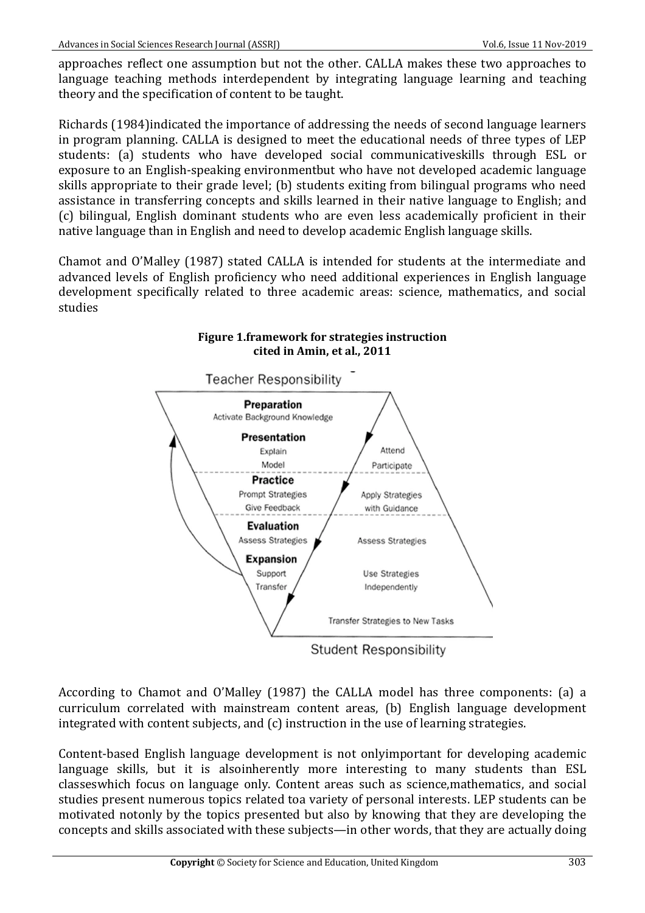approaches reflect one assumption but not the other. CALLA makes these two approaches to language teaching methods interdependent by integrating language learning and teaching theory and the specification of content to be taught.

Richards (1984)indicated the importance of addressing the needs of second language learners in program planning. CALLA is designed to meet the educational needs of three types of LEP students: (a) students who have developed social communicativeskills through ESL or exposure to an English-speaking environmentbut who have not developed academic language skills appropriate to their grade level; (b) students exiting from bilingual programs who need assistance in transferring concepts and skills learned in their native language to English; and (c) bilingual, English dominant students who are even less academically proficient in their native language than in English and need to develop academic English language skills.

Chamot and O'Malley (1987) stated CALLA is intended for students at the intermediate and advanced levels of English proficiency who need additional experiences in English language development specifically related to three academic areas: science, mathematics, and social studies



# **Figure 1.framework for strategies instruction** cited in Amin, et al., 2011

According to Chamot and O'Malley (1987) the CALLA model has three components: (a) a curriculum correlated with mainstream content areas, (b) English language development integrated with content subjects, and  $(c)$  instruction in the use of learning strategies.

Content-based English language development is not onlyimportant for developing academic language skills, but it is alsoinherently more interesting to many students than ESL classeswhich focus on language only. Content areas such as science,mathematics, and social studies present numerous topics related toa variety of personal interests. LEP students can be motivated notonly by the topics presented but also by knowing that they are developing the concepts and skills associated with these subjects—in other words, that they are actually doing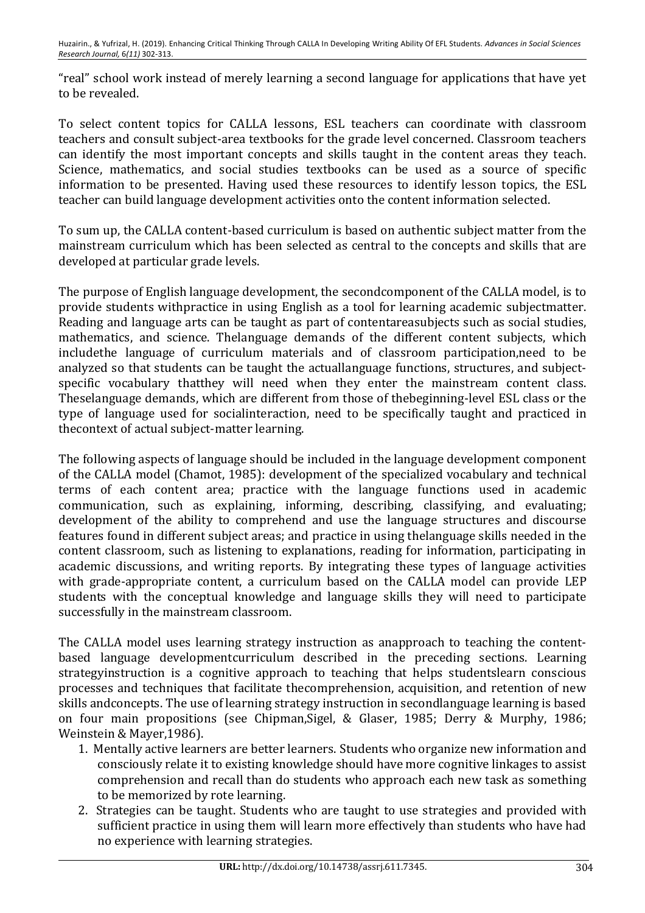"real" school work instead of merely learning a second language for applications that have yet to be revealed.

To select content topics for CALLA lessons, ESL teachers can coordinate with classroom teachers and consult subject-area textbooks for the grade level concerned. Classroom teachers can identify the most important concepts and skills taught in the content areas they teach. Science, mathematics, and social studies textbooks can be used as a source of specific information to be presented. Having used these resources to identify lesson topics, the ESL teacher can build language development activities onto the content information selected.

To sum up, the CALLA content-based curriculum is based on authentic subject matter from the mainstream curriculum which has been selected as central to the concepts and skills that are developed at particular grade levels.

The purpose of English language development, the secondcomponent of the CALLA model, is to provide students withpractice in using English as a tool for learning academic subjectmatter. Reading and language arts can be taught as part of contentareasubjects such as social studies, mathematics, and science. Thelanguage demands of the different content subjects, which includethe language of curriculum materials and of classroom participation,need to be analyzed so that students can be taught the actuallanguage functions, structures, and subjectspecific vocabulary thatthey will need when they enter the mainstream content class. Theselanguage demands, which are different from those of thebeginning-level ESL class or the type of language used for socialinteraction, need to be specifically taught and practiced in thecontext of actual subject-matter learning.

The following aspects of language should be included in the language development component of the CALLA model (Chamot, 1985): development of the specialized vocabulary and technical terms of each content area; practice with the language functions used in academic communication, such as explaining, informing, describing, classifying, and evaluating; development of the ability to comprehend and use the language structures and discourse features found in different subject areas; and practice in using thelanguage skills needed in the content classroom, such as listening to explanations, reading for information, participating in academic discussions, and writing reports. By integrating these types of language activities with grade-appropriate content, a curriculum based on the CALLA model can provide LEP students with the conceptual knowledge and language skills they will need to participate successfully in the mainstream classroom.

The CALLA model uses learning strategy instruction as anapproach to teaching the contentbased language developmentcurriculum described in the preceding sections. Learning strategyinstruction is a cognitive approach to teaching that helps studentslearn conscious processes and techniques that facilitate thecomprehension, acquisition, and retention of new skills andconcepts. The use of learning strategy instruction in secondlanguage learning is based on four main propositions (see Chipman, Sigel, & Glaser, 1985; Derry & Murphy, 1986; Weinstein & Mayer, 1986).

- 1. Mentally active learners are better learners. Students who organize new information and consciously relate it to existing knowledge should have more cognitive linkages to assist comprehension and recall than do students who approach each new task as something to be memorized by rote learning.
- 2. Strategies can be taught. Students who are taught to use strategies and provided with sufficient practice in using them will learn more effectively than students who have had no experience with learning strategies.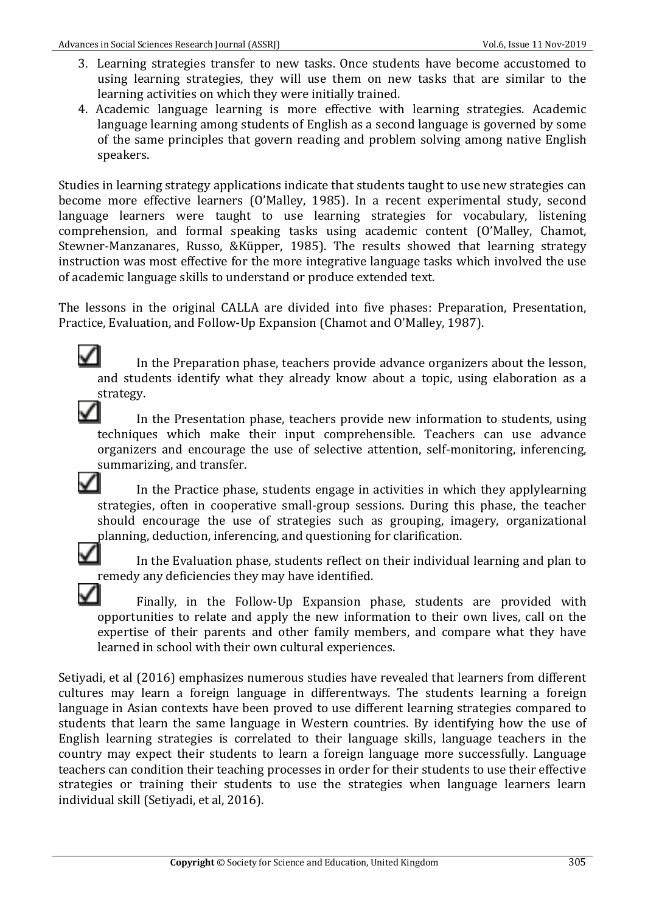- 3. Learning strategies transfer to new tasks. Once students have become accustomed to using learning strategies, they will use them on new tasks that are similar to the learning activities on which they were initially trained.
- 4. Academic language learning is more effective with learning strategies. Academic language learning among students of English as a second language is governed by some of the same principles that govern reading and problem solving among native English speakers.

Studies in learning strategy applications indicate that students taught to use new strategies can become more effective learners (O'Malley, 1985). In a recent experimental study, second language learners were taught to use learning strategies for vocabulary, listening comprehension, and formal speaking tasks using academic content (O'Malley, Chamot, Stewner-Manzanares, Russo, &Küpper, 1985). The results showed that learning strategy instruction was most effective for the more integrative language tasks which involved the use of academic language skills to understand or produce extended text.

The lessons in the original CALLA are divided into five phases: Preparation, Presentation, Practice, Evaluation, and Follow-Up Expansion (Chamot and O'Malley, 1987).

✓ In the Preparation phase, teachers provide advance organizers about the lesson, and students identify what they already know about a topic, using elaboration as a strategy.

✓ In the Presentation phase, teachers provide new information to students, using techniques which make their input comprehensible. Teachers can use advance organizers and encourage the use of selective attention, self-monitoring, inferencing, summarizing, and transfer.

✓ In the Practice phase, students engage in activities in which they applylearning strategies, often in cooperative small-group sessions. During this phase, the teacher should encourage the use of strategies such as grouping, imagery, organizational planning, deduction, inferencing, and questioning for clarification.

In the Evaluation phase, students reflect on their individual learning and plan to remedy any deficiencies they may have identified.

Finally, in the Follow-Up Expansion phase, students are provided with opportunities to relate and apply the new information to their own lives, call on the expertise of their parents and other family members, and compare what they have learned in school with their own cultural experiences.

Setiyadi, et al (2016) emphasizes numerous studies have revealed that learners from different cultures may learn a foreign language in differentways. The students learning a foreign language in Asian contexts have been proved to use different learning strategies compared to students that learn the same language in Western countries. By identifying how the use of English learning strategies is correlated to their language skills, language teachers in the country may expect their students to learn a foreign language more successfully. Language teachers can condition their teaching processes in order for their students to use their effective strategies or training their students to use the strategies when language learners learn individual skill (Setiyadi, et al, 2016).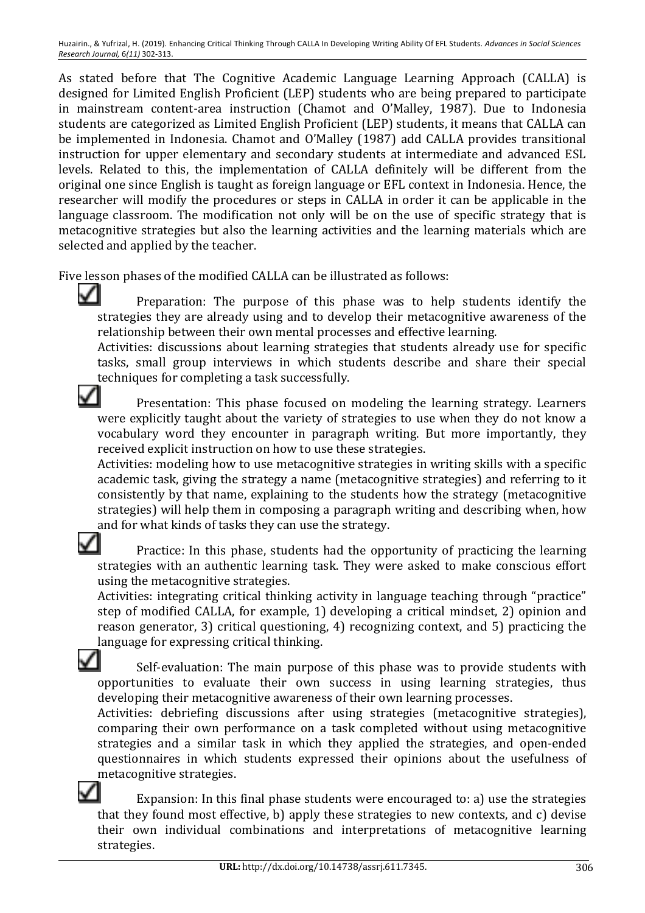As stated before that The Cognitive Academic Language Learning Approach (CALLA) is designed for Limited English Proficient (LEP) students who are being prepared to participate in mainstream content-area instruction (Chamot and O'Malley, 1987). Due to Indonesia students are categorized as Limited English Proficient (LEP) students, it means that CALLA can be implemented in Indonesia. Chamot and O'Malley (1987) add CALLA provides transitional instruction for upper elementary and secondary students at intermediate and advanced ESL levels. Related to this, the implementation of CALLA definitely will be different from the original one since English is taught as foreign language or EFL context in Indonesia. Hence, the researcher will modify the procedures or steps in CALLA in order it can be applicable in the language classroom. The modification not only will be on the use of specific strategy that is metacognitive strategies but also the learning activities and the learning materials which are selected and applied by the teacher.

Five lesson phases of the modified CALLA can be illustrated as follows:

✓

✓

Preparation: The purpose of this phase was to help students identify the strategies they are already using and to develop their metacognitive awareness of the relationship between their own mental processes and effective learning.

Activities: discussions about learning strategies that students already use for specific tasks, small group interviews in which students describe and share their special techniques for completing a task successfully.

Presentation: This phase focused on modeling the learning strategy. Learners were explicitly taught about the variety of strategies to use when they do not know a vocabulary word they encounter in paragraph writing. But more importantly, they received explicit instruction on how to use these strategies.

Activities: modeling how to use metacognitive strategies in writing skills with a specific academic task, giving the strategy a name (metacognitive strategies) and referring to it consistently by that name, explaining to the students how the strategy (metacognitive strategies) will help them in composing a paragraph writing and describing when, how and for what kinds of tasks they can use the strategy.

Practice: In this phase, students had the opportunity of practicing the learning strategies with an authentic learning task. They were asked to make conscious effort using the metacognitive strategies.

Activities: integrating critical thinking activity in language teaching through "practice" step of modified CALLA, for example, 1) developing a critical mindset, 2) opinion and reason generator, 3) critical questioning, 4) recognizing context, and 5) practicing the language for expressing critical thinking.

Self-evaluation: The main purpose of this phase was to provide students with opportunities to evaluate their own success in using learning strategies, thus developing their metacognitive awareness of their own learning processes.

Activities: debriefing discussions after using strategies (metacognitive strategies), comparing their own performance on a task completed without using metacognitive strategies and a similar task in which they applied the strategies, and open-ended questionnaires in which students expressed their opinions about the usefulness of metacognitive strategies.

Expansion: In this final phase students were encouraged to: a) use the strategies that they found most effective, b) apply these strategies to new contexts, and  $c$ ) devise their own individual combinations and interpretations of metacognitive learning strategies.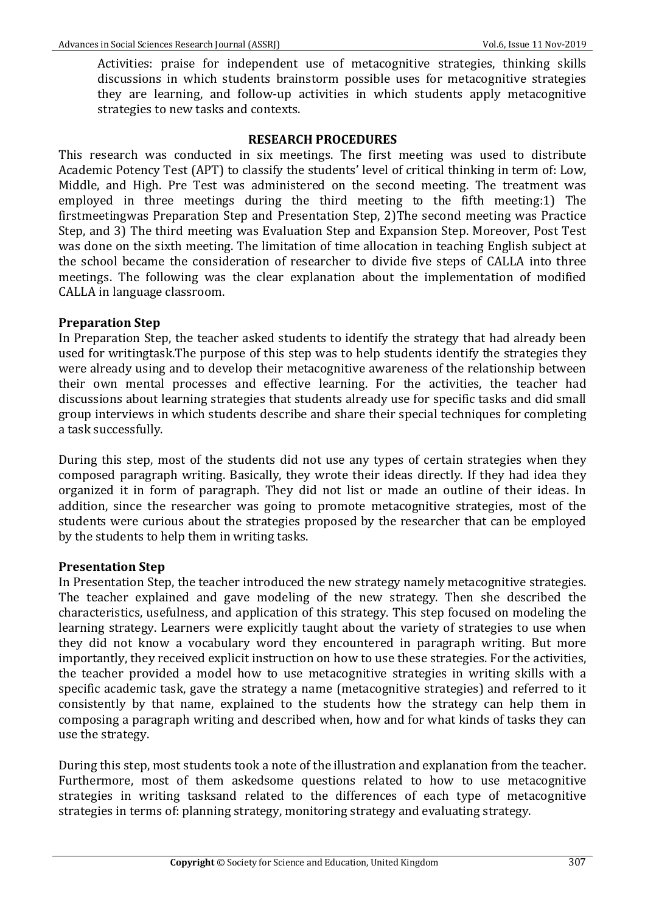Activities: praise for independent use of metacognitive strategies, thinking skills discussions in which students brainstorm possible uses for metacognitive strategies they are learning, and follow-up activities in which students apply metacognitive strategies to new tasks and contexts.

#### **RESEARCH PROCEDURES**

This research was conducted in six meetings. The first meeting was used to distribute Academic Potency Test (APT) to classify the students' level of critical thinking in term of: Low, Middle, and High. Pre Test was administered on the second meeting. The treatment was employed in three meetings during the third meeting to the fifth meeting:1) The firstmeetingwas Preparation Step and Presentation Step, 2)The second meeting was Practice Step, and 3) The third meeting was Evaluation Step and Expansion Step. Moreover, Post Test was done on the sixth meeting. The limitation of time allocation in teaching English subject at the school became the consideration of researcher to divide five steps of CALLA into three meetings. The following was the clear explanation about the implementation of modified CALLA in language classroom.

## **Preparation Step**

In Preparation Step, the teacher asked students to identify the strategy that had already been used for writingtask.The purpose of this step was to help students identify the strategies they were already using and to develop their metacognitive awareness of the relationship between their own mental processes and effective learning. For the activities, the teacher had discussions about learning strategies that students already use for specific tasks and did small group interviews in which students describe and share their special techniques for completing a task successfully.

During this step, most of the students did not use any types of certain strategies when they composed paragraph writing. Basically, they wrote their ideas directly. If they had idea they organized it in form of paragraph. They did not list or made an outline of their ideas. In addition, since the researcher was going to promote metacognitive strategies, most of the students were curious about the strategies proposed by the researcher that can be employed by the students to help them in writing tasks.

## **Presentation Step**

In Presentation Step, the teacher introduced the new strategy namely metacognitive strategies. The teacher explained and gave modeling of the new strategy. Then she described the characteristics, usefulness, and application of this strategy. This step focused on modeling the learning strategy. Learners were explicitly taught about the variety of strategies to use when they did not know a vocabulary word they encountered in paragraph writing. But more importantly, they received explicit instruction on how to use these strategies. For the activities, the teacher provided a model how to use metacognitive strategies in writing skills with a specific academic task, gave the strategy a name (metacognitive strategies) and referred to it consistently by that name, explained to the students how the strategy can help them in composing a paragraph writing and described when, how and for what kinds of tasks they can use the strategy.

During this step, most students took a note of the illustration and explanation from the teacher. Furthermore, most of them askedsome questions related to how to use metacognitive strategies in writing tasksand related to the differences of each type of metacognitive strategies in terms of: planning strategy, monitoring strategy and evaluating strategy.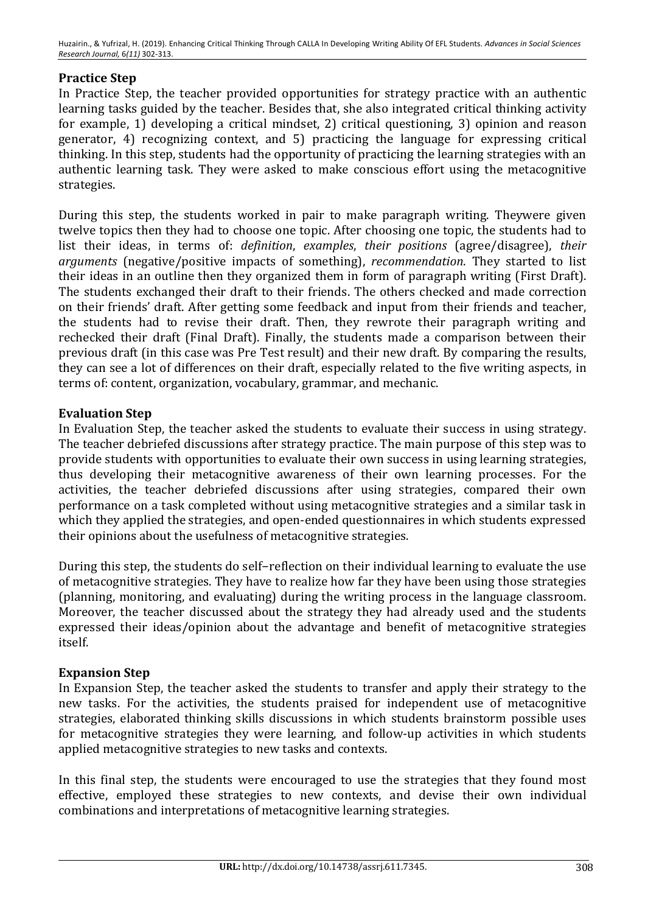Huzairin., & Yufrizal, H. (2019). Enhancing Critical Thinking Through CALLA In Developing Writing Ability Of EFL Students. *Advances in Social Sciences Research Journal,* 6*(11)* 302-313.

## **Practice Step**

In Practice Step, the teacher provided opportunities for strategy practice with an authentic learning tasks guided by the teacher. Besides that, she also integrated critical thinking activity for example, 1) developing a critical mindset, 2) critical questioning, 3) opinion and reason generator, 4) recognizing context, and 5) practicing the language for expressing critical thinking. In this step, students had the opportunity of practicing the learning strategies with an authentic learning task. They were asked to make conscious effort using the metacognitive strategies.

During this step, the students worked in pair to make paragraph writing. Theywere given twelve topics then they had to choose one topic. After choosing one topic, the students had to list their ideas, in terms of: *definition*, *examples*, *their positions* (agree/disagree), *their arguments* (negative/positive impacts of something), *recommendation*. They started to list their ideas in an outline then they organized them in form of paragraph writing (First Draft). The students exchanged their draft to their friends. The others checked and made correction on their friends' draft. After getting some feedback and input from their friends and teacher, the students had to revise their draft. Then, they rewrote their paragraph writing and rechecked their draft (Final Draft). Finally, the students made a comparison between their previous draft (in this case was Pre Test result) and their new draft. By comparing the results, they can see a lot of differences on their draft, especially related to the five writing aspects, in terms of: content, organization, vocabulary, grammar, and mechanic.

## **Evaluation Step**

In Evaluation Step, the teacher asked the students to evaluate their success in using strategy. The teacher debriefed discussions after strategy practice. The main purpose of this step was to provide students with opportunities to evaluate their own success in using learning strategies, thus developing their metacognitive awareness of their own learning processes. For the activities, the teacher debriefed discussions after using strategies, compared their own performance on a task completed without using metacognitive strategies and a similar task in which they applied the strategies, and open-ended questionnaires in which students expressed their opinions about the usefulness of metacognitive strategies.

During this step, the students do self-reflection on their individual learning to evaluate the use of metacognitive strategies. They have to realize how far they have been using those strategies (planning, monitoring, and evaluating) during the writing process in the language classroom. Moreover, the teacher discussed about the strategy they had already used and the students expressed their ideas/opinion about the advantage and benefit of metacognitive strategies itself.

## **Expansion Step**

In Expansion Step, the teacher asked the students to transfer and apply their strategy to the new tasks. For the activities, the students praised for independent use of metacognitive strategies, elaborated thinking skills discussions in which students brainstorm possible uses for metacognitive strategies they were learning, and follow-up activities in which students applied metacognitive strategies to new tasks and contexts.

In this final step, the students were encouraged to use the strategies that they found most effective, employed these strategies to new contexts, and devise their own individual combinations and interpretations of metacognitive learning strategies.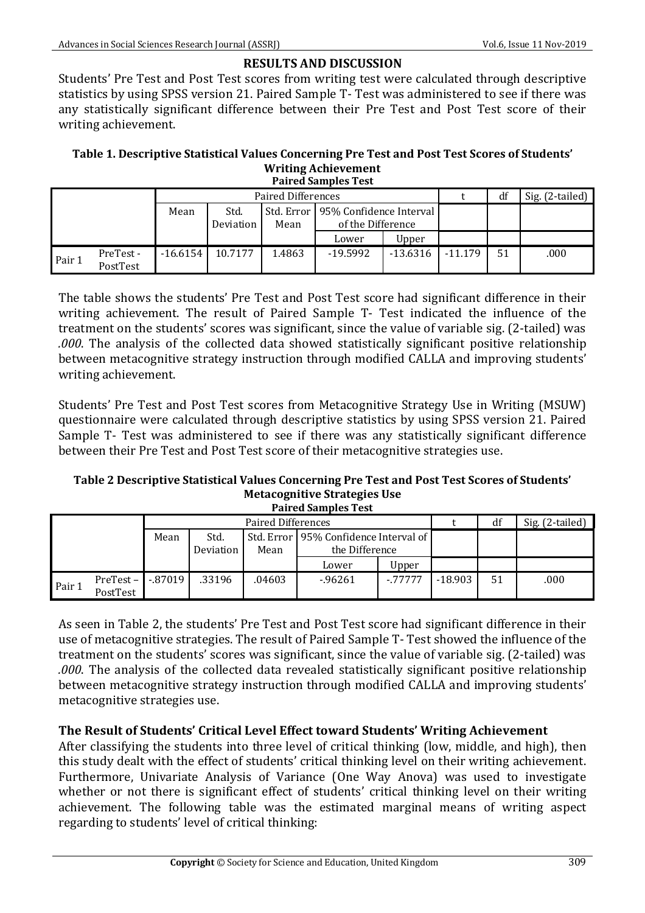# **RESULTS AND DISCUSSION**

Students' Pre Test and Post Test scores from writing test were calculated through descriptive statistics by using SPSS version 21. Paired Sample T- Test was administered to see if there was any statistically significant difference between their Pre Test and Post Test score of their writing achievement.

#### Table 1. Descriptive Statistical Values Concerning Pre Test and Post Test Scores of Students' **Writing Achievement Paired Samples Test**

| тан са зашисе тем |                      |                           |                   |        |                                                           |            |           |    |                 |
|-------------------|----------------------|---------------------------|-------------------|--------|-----------------------------------------------------------|------------|-----------|----|-----------------|
|                   |                      | <b>Paired Differences</b> |                   |        |                                                           |            |           | df | Sig. (2-tailed) |
|                   |                      | Mean                      | Std.<br>Deviation | Mean   | Std. Error   95% Confidence Interval<br>of the Difference |            |           |    |                 |
|                   |                      |                           |                   |        | Lower                                                     | Upper      |           |    |                 |
| Pair 1            | PreTest-<br>PostTest | $-16.6154$                | 10.7177           | 1.4863 | $-19.5992$                                                | $-13.6316$ | $-11.179$ | 51 | .000            |

The table shows the students' Pre Test and Post Test score had significant difference in their writing achievement. The result of Paired Sample T- Test indicated the influence of the treatment on the students' scores was significant, since the value of variable sig. (2-tailed) was *.000*. The analysis of the collected data showed statistically significant positive relationship between metacognitive strategy instruction through modified CALLA and improving students' writing achievement.

Students' Pre Test and Post Test scores from Metacognitive Strategy Use in Writing (MSUW) questionnaire were calculated through descriptive statistics by using SPSS version 21. Paired Sample T- Test was administered to see if there was any statistically significant difference between their Pre Test and Post Test score of their metacognitive strategies use.

#### Table 2 Descriptive Statistical Values Concerning Pre Test and Post Test Scores of Students' **Metacognitive Strategies Use Paired Samples Test**

|        |                   | <b>Paired Differences</b> |        |                                         |          |          |           | df | Sig. (2-tailed) |
|--------|-------------------|---------------------------|--------|-----------------------------------------|----------|----------|-----------|----|-----------------|
| Mean   |                   | Std.                      |        | Std. Error   95% Confidence Interval of |          |          |           |    |                 |
|        |                   | Deviation                 | Mean   | the Difference                          |          |          |           |    |                 |
|        |                   |                           |        |                                         | Lower    | Upper    |           |    |                 |
| Pair 1 | $PreTest - 37019$ |                           | .33196 | .04603                                  | $-96261$ | $-77777$ | $-18.903$ | 51 | .000            |
|        | PostTest          |                           |        |                                         |          |          |           |    |                 |

As seen in Table 2, the students' Pre Test and Post Test score had significant difference in their use of metacognitive strategies. The result of Paired Sample T- Test showed the influence of the treatment on the students' scores was significant, since the value of variable sig. (2-tailed) was *.000*. The analysis of the collected data revealed statistically significant positive relationship between metacognitive strategy instruction through modified CALLA and improving students' metacognitive strategies use.

# The Result of Students' Critical Level Effect toward Students' Writing Achievement

After classifying the students into three level of critical thinking (low, middle, and high), then this study dealt with the effect of students' critical thinking level on their writing achievement. Furthermore, Univariate Analysis of Variance (One Way Anova) was used to investigate whether or not there is significant effect of students' critical thinking level on their writing achievement. The following table was the estimated marginal means of writing aspect regarding to students' level of critical thinking: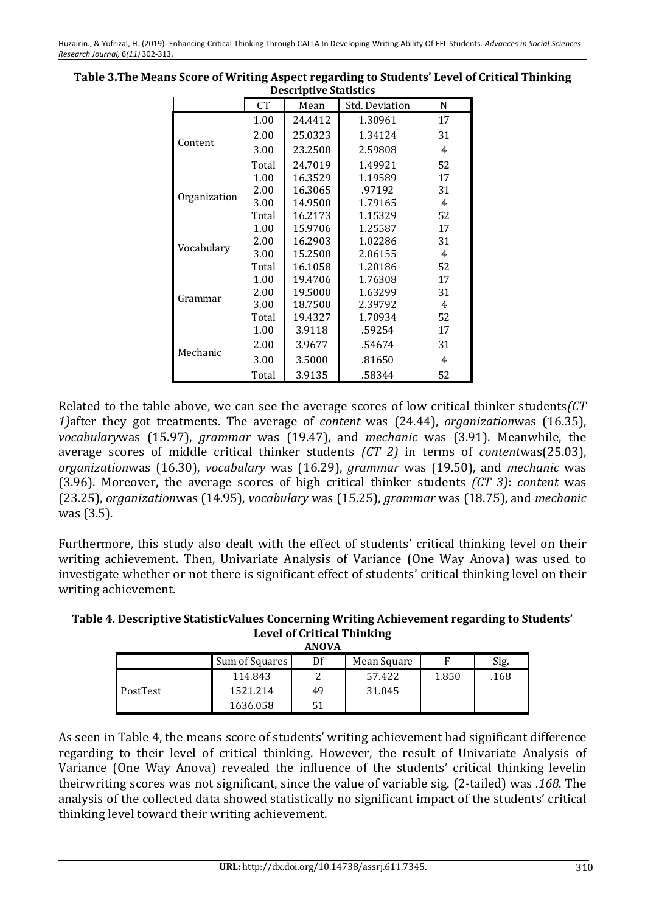|              | CT    | Mean    | Std. Deviation | N  |
|--------------|-------|---------|----------------|----|
|              | 1.00  | 24.4412 | 1.30961        | 17 |
|              | 2.00  | 25.0323 | 1.34124        | 31 |
| Content      | 3.00  | 23.2500 | 2.59808        | 4  |
|              | Total | 24.7019 | 1.49921        | 52 |
|              | 1.00  | 16.3529 | 1.19589        | 17 |
|              | 2.00  | 16.3065 | .97192         | 31 |
| Organization | 3.00  | 14.9500 | 1.79165        | 4  |
|              | Total | 16.2173 | 1.15329        | 52 |
|              | 1.00  | 15.9706 | 1.25587        | 17 |
| Vocabulary   | 2.00  | 16.2903 | 1.02286        | 31 |
|              | 3.00  | 15.2500 | 2.06155        | 4  |
|              | Total | 16.1058 | 1.20186        | 52 |
|              | 1.00  | 19.4706 | 1.76308        | 17 |
| Grammar      | 2.00  | 19.5000 | 1.63299        | 31 |
|              | 3.00  | 18.7500 | 2.39792        | 4  |
|              | Total | 19.4327 | 1.70934        | 52 |
|              | 1.00  | 3.9118  | .59254         | 17 |
| Mechanic     | 2.00  | 3.9677  | .54674         | 31 |
|              | 3.00  | 3.5000  | .81650         | 4  |
|              | Total | 3.9135  | .58344         | 52 |

**Table 3. The Means Score of Writing Aspect regarding to Students' Level of Critical Thinking Descriptive Statistics** 

Related to the table above, we can see the average scores of low critical thinker students (CT *1*)after they got treatments. The average of *content* was (24.44), *organizationwas* (16.35), *vocabularywas* (15.97), *grammar* was (19.47), and *mechanic* was (3.91). Meanwhile, the average scores of middle critical thinker students *(CT 2)* in terms of *contentwas*(25.03), *organizationwas* (16.30), *vocabulary* was (16.29), *grammar* was (19.50), and *mechanic* was (3.96). Moreover, the average scores of high critical thinker students *(CT 3)*: *content* was (23.25), *organization*was (14.95), *vocabulary* was (15.25), *grammar* was (18.75), and *mechanic* was  $(3.5)$ .

Furthermore, this study also dealt with the effect of students' critical thinking level on their writing achievement. Then, Univariate Analysis of Variance (One Way Anova) was used to investigate whether or not there is significant effect of students' critical thinking level on their writing achievement.

Table 4. Descriptive StatisticValues Concerning Writing Achievement regarding to Students' **Level of Critical Thinking ANOVA**

| .        |                |    |             |       |      |  |  |  |
|----------|----------------|----|-------------|-------|------|--|--|--|
|          | Sum of Squares | Df | Mean Square |       | Sig. |  |  |  |
|          | 114.843        |    | 57.422      | 1.850 | .168 |  |  |  |
| PostTest | 1521.214       | 49 | 31.045      |       |      |  |  |  |
|          | 1636.058       | 51 |             |       |      |  |  |  |

As seen in Table 4, the means score of students' writing achievement had significant difference regarding to their level of critical thinking. However, the result of Univariate Analysis of Variance (One Way Anova) revealed the influence of the students' critical thinking levelin theirwriting scores was not significant, since the value of variable sig. (2-tailed) was .168. The analysis of the collected data showed statistically no significant impact of the students' critical thinking level toward their writing achievement.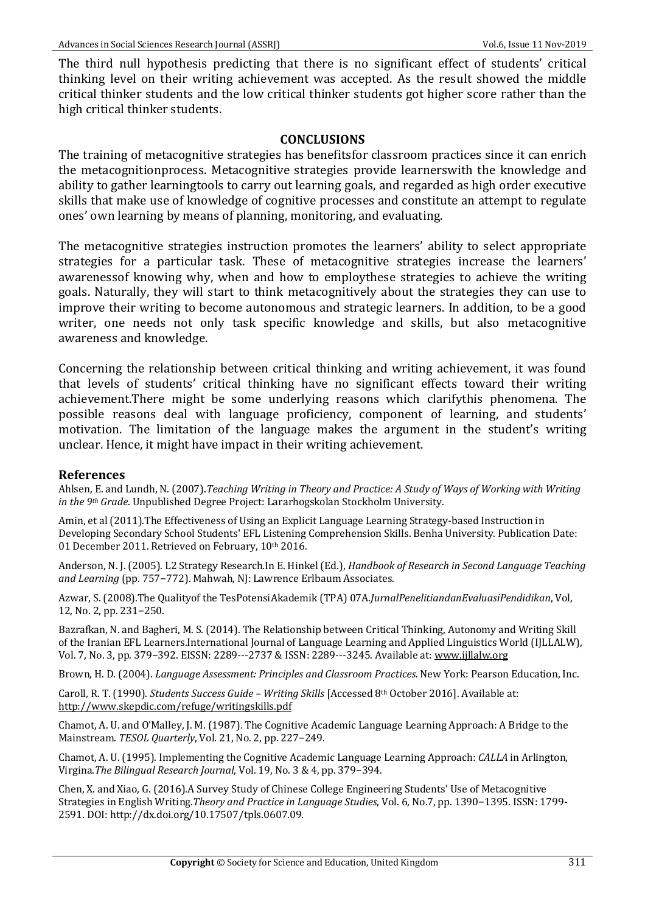The third null hypothesis predicting that there is no significant effect of students' critical thinking level on their writing achievement was accepted. As the result showed the middle critical thinker students and the low critical thinker students got higher score rather than the high critical thinker students.

#### **CONCLUSIONS**

The training of metacognitive strategies has benefitsfor classroom practices since it can enrich the metacognitionprocess. Metacognitive strategies provide learnerswith the knowledge and ability to gather learningtools to carry out learning goals, and regarded as high order executive skills that make use of knowledge of cognitive processes and constitute an attempt to regulate ones' own learning by means of planning, monitoring, and evaluating.

The metacognitive strategies instruction promotes the learners' ability to select appropriate strategies for a particular task. These of metacognitive strategies increase the learners' awarenessof knowing why, when and how to employthese strategies to achieve the writing goals. Naturally, they will start to think metacognitively about the strategies they can use to improve their writing to become autonomous and strategic learners. In addition, to be a good writer, one needs not only task specific knowledge and skills, but also metacognitive awareness and knowledge.

Concerning the relationship between critical thinking and writing achievement, it was found that levels of students' critical thinking have no significant effects toward their writing achievement.There might be some underlying reasons which clarifythis phenomena. The possible reasons deal with language proficiency, component of learning, and students' motivation. The limitation of the language makes the argument in the student's writing unclear. Hence, it might have impact in their writing achievement.

#### **References**

Ahlsen, E. and Lundh, N. (2007).*Teaching Writing in Theory and Practice: A Study of Ways of Working with Writing in the 9<sup>th</sup> Grade*. Unpublished Degree Project: Lararhogskolan Stockholm University.

Amin, et al (2011). The Effectiveness of Using an Explicit Language Learning Strategy-based Instruction in Developing Secondary School Students' EFL Listening Comprehension Skills. Benha University. Publication Date: 01 December 2011. Retrieved on February, 10th 2016.

Anderson, N. J. (2005). L2 Strategy Research.In E. Hinkel (Ed.), *Handbook of Research in Second Language Teaching* and Learning (pp. 757-772). Mahwah, NJ: Lawrence Erlbaum Associates.

Azwar, S. (2008).The Qualityof the TesPotensiAkademik (TPA) 07A.JurnalPenelitiandanEvaluasiPendidikan, Vol, 12, No. 2, pp. 231−250.

Bazrafkan, N. and Bagheri, M. S. (2014). The Relationship between Critical Thinking, Autonomy and Writing Skill of the Iranian EFL Learners.International Journal of Language Learning and Applied Linguistics World (IILLALW), Vol. 7, No. 3, pp. 379-392. EISSN: 2289---2737 & ISSN: 2289---3245. Available at: www.ijllalw.org

Brown, H. D. (2004). *Language Assessment: Principles and Classroom Practices*. New York: Pearson Education, Inc.

Caroll, R. T. (1990). *Students Success Guide* - *Writing Skills* [Accessed 8<sup>th</sup> October 2016]. Available at: http://www.skepdic.com/refuge/writingskills.pdf

Chamot, A. U. and O'Malley, J. M. (1987). The Cognitive Academic Language Learning Approach: A Bridge to the Mainstream. *TESOL Quarterly*, Vol. 21, No. 2, pp. 227−249.

Chamot, A. U. (1995). Implementing the Cognitive Academic Language Learning Approach: *CALLA* in Arlington, Virgina.*The Bilingual Research Journal*, Vol. 19, No. 3 & 4, pp. 379−394. 

Chen, X. and Xiao, G. (2016).A Survey Study of Chinese College Engineering Students' Use of Metacognitive Strategies in English Writing.*Theory and Practice in Language Studies*, Vol. 6, No.7, pp. 1390–1395. ISSN: 1799-2591. DOI: http://dx.doi.org/10.17507/tpls.0607.09.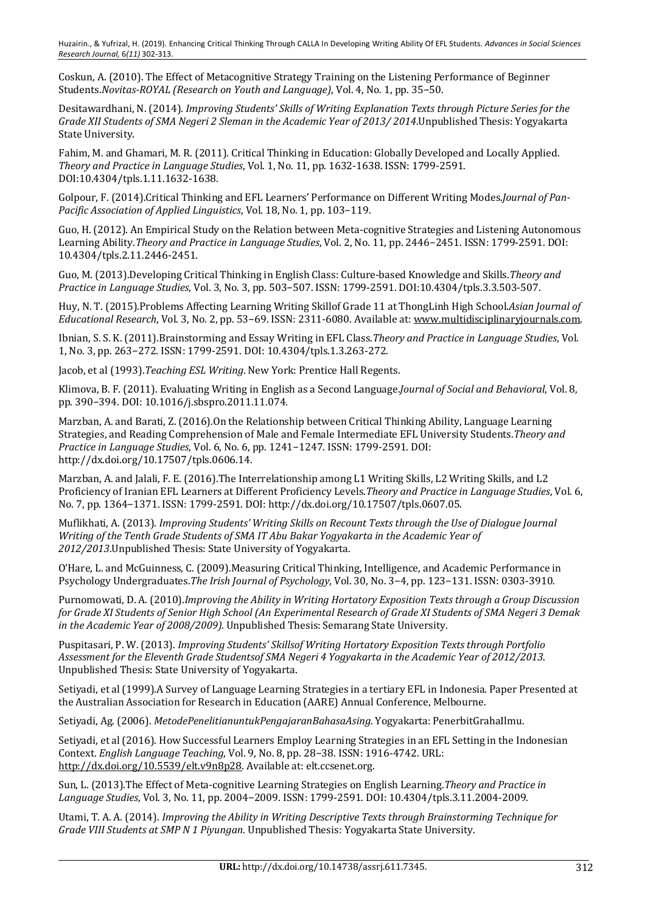Coskun, A. (2010). The Effect of Metacognitive Strategy Training on the Listening Performance of Beginner Students.*Novitas-ROYAL (Research on Youth and Language)*, Vol. 4, No. 1, pp. 35−50.

Desitawardhani, N. (2014). *Improving Students' Skills of Writing Explanation Texts through Picture Series for the Grade XII Students of SMA Negeri 2 Sleman in the Academic Year of 2013/2014*.Unpublished Thesis: Yogyakarta State University.

Fahim, M. and Ghamari, M. R. (2011). Critical Thinking in Education: Globally Developed and Locally Applied. *Theory and Practice in Language Studies*, Vol. 1, No. 11, pp. 1632-1638. ISSN: 1799-2591. DOI:10.4304/tpls.1.11.1632-1638.

Golpour, F. (2014).Critical Thinking and EFL Learners' Performance on Different Writing Modes.*Journal of Pan-Pacific Association of Applied Linguistics*, Vol. 18, No. 1, pp. 103-119.

Guo, H. (2012). An Empirical Study on the Relation between Meta-cognitive Strategies and Listening Autonomous Learning Ability.*Theory and Practice in Language Studies*, Vol. 2, No. 11, pp. 2446−2451. ISSN: 1799-2591. DOI: 10.4304/tpls.2.11.2446-2451.

Guo, M. (2013).Developing Critical Thinking in English Class: Culture-based Knowledge and Skills. Theory and *Practice in Language Studies*, Vol. 3, No. 3, pp. 503−507. ISSN: 1799-2591. DOI:10.4304/tpls.3.3.503-507.

Huy, N. T. (2015).Problems Affecting Learning Writing Skillof Grade 11 at ThongLinh High School.Asian Journal of *Educational Research*, Vol. 3, No. 2, pp. 53–69. ISSN: 2311-6080. Available at: www.multidisciplinaryjournals.com.

Ibnian, S. S. K. (2011).Brainstorming and Essay Writing in EFL Class.*Theory and Practice in Language Studies*, Vol. 1, No. 3, pp. 263−272, ISSN: 1799-2591, DOI: 10.4304/tpls.1.3.263-272.

Jacob, et al (1993). Teaching ESL Writing. New York: Prentice Hall Regents.

Klimova, B. F. (2011). Evaluating Writing in English as a Second Language.*Journal of Social and Behavioral*, Vol. 8, pp. 390–394. DOI: 10.1016/j.sbspro.2011.11.074.

Marzban, A. and Barati, Z. (2016). On the Relationship between Critical Thinking Ability, Language Learning Strategies, and Reading Comprehension of Male and Female Intermediate EFL University Students.*Theory and Practice in Language Studies*, Vol. 6, No. 6, pp. 1241-1247. ISSN: 1799-2591. DOI: http://dx.doi.org/10.17507/tpls.0606.14.

Marzban, A. and Jalali, F. E. (2016). The Interrelationship among L1 Writing Skills, L2 Writing Skills, and L2 Proficiency of Iranian EFL Learners at Different Proficiency Levels. Theory and Practice in Language Studies, Vol. 6, No. 7, pp. 1364-1371. ISSN: 1799-2591. DOI: http://dx.doi.org/10.17507/tpls.0607.05.

Muflikhati, A. (2013). *Improving Students' Writing Skills on Recount Texts through the Use of Dialogue Journal Writing of the Tenth Grade Students of SMA IT Abu Bakar Yogyakarta in the Academic Year of* 2012/2013. Unpublished Thesis: State University of Yogyakarta.

O'Hare, L. and McGuinness, C. (2009). Measuring Critical Thinking, Intelligence, and Academic Performance in Psychology Undergraduates.*The Irish Journal of Psychology*, Vol. 30, No. 3–4, pp. 123–131. ISSN: 0303-3910.

Purnomowati, D. A. (2010).*Improving the Ability in Writing Hortatory Exposition Texts through a Group Discussion for Grade XI Students of Senior High School (An Experimental Research of Grade XI Students of SMA Negeri 3 Demak in the Academic Year of 2008/2009*). Unpublished Thesis: Semarang State University.

Puspitasari, P. W. (2013). *Improving Students' Skillsof Writing Hortatory Exposition Texts through Portfolio* Assessment for the Eleventh Grade Studentsof SMA Negeri 4 Yogyakarta in the Academic Year of 2012/2013. Unpublished Thesis: State University of Yogyakarta.

Setiyadi, et al (1999). A Survey of Language Learning Strategies in a tertiary EFL in Indonesia. Paper Presented at the Australian Association for Research in Education (AARE) Annual Conference, Melbourne.

Setiyadi, Ag. (2006). *MetodePenelitianuntukPengajaranBahasaAsing*. Yogyakarta: PenerbitGrahaIlmu.

Setiyadi, et al (2016). How Successful Learners Employ Learning Strategies in an EFL Setting in the Indonesian Context. *English Language Teaching*, Vol. 9, No. 8, pp. 28−38. ISSN: 1916-4742. URL: http://dx.doi.org/10.5539/elt.v9n8p28. Available at: elt.ccsenet.org.

Sun, L. (2013).The Effect of Meta-cognitive Learning Strategies on English Learning.*Theory and Practice in Language Studies*, Vol. 3, No. 11, pp. 2004−2009. ISSN: 1799-2591. DOI: 10.4304/tpls.3.11.2004-2009.

Utami, T. A. A. (2014). *Improving the Ability in Writing Descriptive Texts through Brainstorming Technique for Grade VIII Students at SMP N 1 Piyungan.* Unpublished Thesis: Yogyakarta State University.